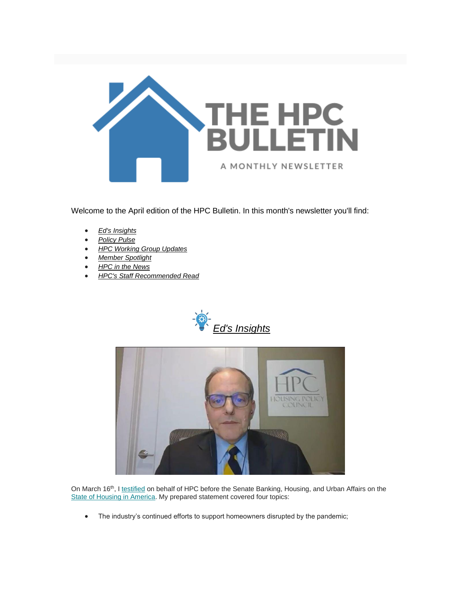

Welcome to the April edition of the HPC Bulletin. In this month's newsletter you'll find:

- *[Ed's Insights](#page-0-0)*
- *[Policy Pulse](#page-2-0)*
- *[HPC Working Group Updates](#page-2-1)*
- *[Member Spotlight](#page-3-0)*
- *[HPC in the News](#page-3-1)*
- *[HPC's Staff Recommended Read](#page-3-2)*

<span id="page-0-0"></span>



On March 16<sup>th</sup>, [I testified](https://nam12.safelinks.protection.outlook.com/?url=https%3A%2F%2Ffbb0ab68-1668-4db6-9365-051035190b71.filesusr.com%2Fugd%2Fd315af_f1771b7694f843029edde60f9d9bb028.pdf&data=04%7C01%7Canna.herndon%40edelman.com%7Cf948af97484d45b4e7f508d8f9096ebe%7Cb824bfb3918e43c2bb1cdcc1ba40a82b%7C0%7C1%7C637533166205074484%7CUnknown%7CTWFpbGZsb3d8eyJWIjoiMC4wLjAwMDAiLCJQIjoiV2luMzIiLCJBTiI6Ik1haWwiLCJXVCI6Mn0%3D%7C1000&sdata=rDOBrPlyIG9Yca%2FVuaUo6BMapE%2ByKJOFpP%2B0ar5Bq0g%3D&reserved=0) on behalf of HPC before the Senate Banking, Housing, and Urban Affairs on the [State of Housing in America.](https://nam12.safelinks.protection.outlook.com/?url=https%3A%2F%2Fwww.banking.senate.gov%2Fhearings%2Fhome_life-the-state-of-housing-in-america&data=04%7C01%7Canna.herndon%40edelman.com%7Cf948af97484d45b4e7f508d8f9096ebe%7Cb824bfb3918e43c2bb1cdcc1ba40a82b%7C0%7C1%7C637533166205084478%7CUnknown%7CTWFpbGZsb3d8eyJWIjoiMC4wLjAwMDAiLCJQIjoiV2luMzIiLCJBTiI6Ik1haWwiLCJXVCI6Mn0%3D%7C1000&sdata=3itE50xVnUszjcF%2BJxz8qOXKZLLKM29XKD5K4nJvzEA%3D&reserved=0) My prepared statement covered four topics:

• The industry's continued efforts to support homeowners disrupted by the pandemic;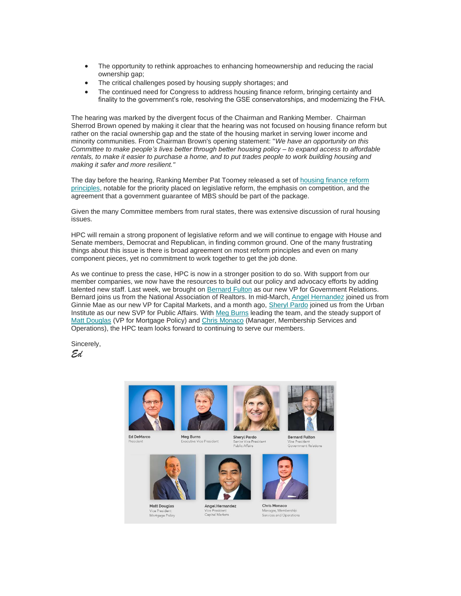- The opportunity to rethink approaches to enhancing homeownership and reducing the racial ownership gap;
- The critical challenges posed by housing supply shortages; and
- The continued need for Congress to address housing finance reform, bringing certainty and finality to the government's role, resolving the GSE conservatorships, and modernizing the FHA.

The hearing was marked by the divergent focus of the Chairman and Ranking Member. Chairman Sherrod Brown opened by making it clear that the hearing was not focused on housing finance reform but rather on the racial ownership gap and the state of the housing market in serving lower income and minority communities. From Chairman Brown's opening statement: "*We have an opportunity on this Committee to make people's lives better through better housing policy – to expand access to affordable rentals, to make it easier to purchase a home, and to put trades people to work building housing and making it safer and more resilient."*

The day before the hearing, Ranking Member Pat Toomey released a set o[f housing finance reform](https://nam12.safelinks.protection.outlook.com/?url=https%3A%2F%2Fwww.banking.senate.gov%2Fnewsroom%2Fminority%2Ftoomey-outlines-housing-finance-reform-principles&data=04%7C01%7Canna.herndon%40edelman.com%7Cf948af97484d45b4e7f508d8f9096ebe%7Cb824bfb3918e43c2bb1cdcc1ba40a82b%7C0%7C1%7C637533166205084478%7CUnknown%7CTWFpbGZsb3d8eyJWIjoiMC4wLjAwMDAiLCJQIjoiV2luMzIiLCJBTiI6Ik1haWwiLCJXVCI6Mn0%3D%7C1000&sdata=aZ1OWCAgSt9eMQ8PykRF1NGSo6T6lBjCDLl6FMbyoMM%3D&reserved=0)  [principles,](https://nam12.safelinks.protection.outlook.com/?url=https%3A%2F%2Fwww.banking.senate.gov%2Fnewsroom%2Fminority%2Ftoomey-outlines-housing-finance-reform-principles&data=04%7C01%7Canna.herndon%40edelman.com%7Cf948af97484d45b4e7f508d8f9096ebe%7Cb824bfb3918e43c2bb1cdcc1ba40a82b%7C0%7C1%7C637533166205084478%7CUnknown%7CTWFpbGZsb3d8eyJWIjoiMC4wLjAwMDAiLCJQIjoiV2luMzIiLCJBTiI6Ik1haWwiLCJXVCI6Mn0%3D%7C1000&sdata=aZ1OWCAgSt9eMQ8PykRF1NGSo6T6lBjCDLl6FMbyoMM%3D&reserved=0) notable for the priority placed on legislative reform, the emphasis on competition, and the agreement that a government guarantee of MBS should be part of the package.

Given the many Committee members from rural states, there was extensive discussion of rural housing issues.

HPC will remain a strong proponent of legislative reform and we will continue to engage with House and Senate members, Democrat and Republican, in finding common ground. One of the many frustrating things about this issue is there is broad agreement on most reform principles and even on many component pieces, yet no commitment to work together to get the job done.

As we continue to press the case, HPC is now in a stronger position to do so. With support from our member companies, we now have the resources to build out our policy and advocacy efforts by adding talented new staff. Last week, we brought on [Bernard Fulton](https://nam12.safelinks.protection.outlook.com/?url=https%3A%2F%2Ffbb0ab68-1668-4db6-9365-051035190b71.filesusr.com%2Fugd%2Fd315af_7e2ec5390d5c4205a60544498253d028.pdf&data=04%7C01%7Canna.herndon%40edelman.com%7Cf948af97484d45b4e7f508d8f9096ebe%7Cb824bfb3918e43c2bb1cdcc1ba40a82b%7C0%7C1%7C637533166205094474%7CUnknown%7CTWFpbGZsb3d8eyJWIjoiMC4wLjAwMDAiLCJQIjoiV2luMzIiLCJBTiI6Ik1haWwiLCJXVCI6Mn0%3D%7C1000&sdata=UQsH%2FW8PqSLOMGj0JD%2BV3cori%2FVg3lnQ1uCmC5P7TRs%3D&reserved=0) as our new VP for Government Relations. Bernard joins us from the National Association of Realtors. In mid-March[, Angel Hernandez](https://nam12.safelinks.protection.outlook.com/?url=https%3A%2F%2Ffbb0ab68-1668-4db6-9365-051035190b71.filesusr.com%2Fugd%2Fd315af_9a23f54a235e42a5be88b6aa19280bbf.pdf&data=04%7C01%7Canna.herndon%40edelman.com%7Cf948af97484d45b4e7f508d8f9096ebe%7Cb824bfb3918e43c2bb1cdcc1ba40a82b%7C0%7C1%7C637533166205094474%7CUnknown%7CTWFpbGZsb3d8eyJWIjoiMC4wLjAwMDAiLCJQIjoiV2luMzIiLCJBTiI6Ik1haWwiLCJXVCI6Mn0%3D%7C1000&sdata=AxU%2BWEMma1%2BBzZDSvLOzdIL1Dpy1lK9ZUo9i1aH5ZVk%3D&reserved=0) joined us from Ginnie Mae as our new VP for Capital Markets, and a month ago, [Sheryl Pardo](https://nam12.safelinks.protection.outlook.com/?url=https%3A%2F%2Ffbb0ab68-1668-4db6-9365-051035190b71.filesusr.com%2Fugd%2Fd315af_87b09037870540018d1e5a5d7b28f2f2.pdf&data=04%7C01%7Canna.herndon%40edelman.com%7Cf948af97484d45b4e7f508d8f9096ebe%7Cb824bfb3918e43c2bb1cdcc1ba40a82b%7C0%7C1%7C637533166205104469%7CUnknown%7CTWFpbGZsb3d8eyJWIjoiMC4wLjAwMDAiLCJQIjoiV2luMzIiLCJBTiI6Ik1haWwiLCJXVCI6Mn0%3D%7C1000&sdata=wL0APYNujF5nhoff6AVq2If%2B7xuyQE3AvzqRvkH%2Fur8%3D&reserved=0) joined us from the Urban Institute as our new SVP for Public Affairs. Wit[h Meg Burns](https://nam12.safelinks.protection.outlook.com/?url=https%3A%2F%2Fwww.housingpolicycouncil.org%2Fabout&data=04%7C01%7Canna.herndon%40edelman.com%7Cf948af97484d45b4e7f508d8f9096ebe%7Cb824bfb3918e43c2bb1cdcc1ba40a82b%7C0%7C1%7C637533166205104469%7CUnknown%7CTWFpbGZsb3d8eyJWIjoiMC4wLjAwMDAiLCJQIjoiV2luMzIiLCJBTiI6Ik1haWwiLCJXVCI6Mn0%3D%7C1000&sdata=pDzIWHi1ytFmuKGXF93RMZhNbZTCLc%2BlTYiD%2FwDbMbE%3D&reserved=0) leading the team, and the steady support of [Matt Douglas](https://nam12.safelinks.protection.outlook.com/?url=https%3A%2F%2Fwww.housingpolicycouncil.org%2Fabout&data=04%7C01%7Canna.herndon%40edelman.com%7Cf948af97484d45b4e7f508d8f9096ebe%7Cb824bfb3918e43c2bb1cdcc1ba40a82b%7C0%7C1%7C637533166205104469%7CUnknown%7CTWFpbGZsb3d8eyJWIjoiMC4wLjAwMDAiLCJQIjoiV2luMzIiLCJBTiI6Ik1haWwiLCJXVCI6Mn0%3D%7C1000&sdata=pDzIWHi1ytFmuKGXF93RMZhNbZTCLc%2BlTYiD%2FwDbMbE%3D&reserved=0) (VP for Mortgage Policy) and [Chris Monaco](https://nam12.safelinks.protection.outlook.com/?url=https%3A%2F%2Fwww.housingpolicycouncil.org%2Fabout&data=04%7C01%7Canna.herndon%40edelman.com%7Cf948af97484d45b4e7f508d8f9096ebe%7Cb824bfb3918e43c2bb1cdcc1ba40a82b%7C0%7C1%7C637533166205114463%7CUnknown%7CTWFpbGZsb3d8eyJWIjoiMC4wLjAwMDAiLCJQIjoiV2luMzIiLCJBTiI6Ik1haWwiLCJXVCI6Mn0%3D%7C1000&sdata=4C9vuWZ7Z9FBsKvv2IMRRXJmzN1jU7yPjj9b8ebFL7o%3D&reserved=0) (Manager, Membership Services and Operations), the HPC team looks forward to continuing to serve our members.

Sincerely, *Ed*





**Matt Douglas** 

Vice President<br>Mortgage Policy



Vice President

Angel Hernandez

vice Fresident<br>Capital Markets



semor vice r<br>Public Affairs



**Bernard Fultor** 





**Chris Monaco** Manager, Me Services and Operations

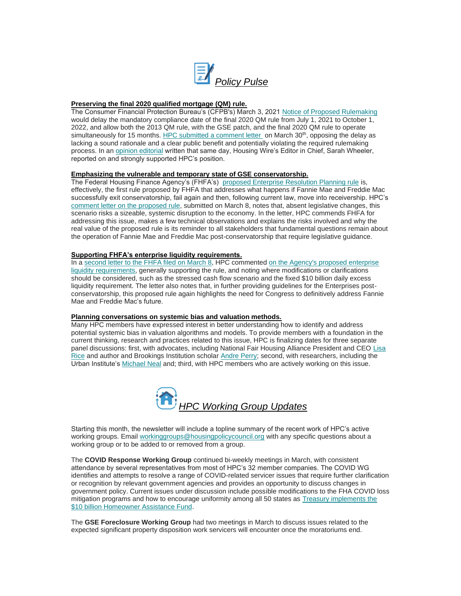<span id="page-2-0"></span>

## **Preserving the final 2020 qualified mortgage (QM) rule.**

The Consumer Financial Protection Bureau's (CFPB's) March 3, 2021 [Notice of Proposed Rulemaking](https://nam12.safelinks.protection.outlook.com/?url=https%3A%2F%2Fwww.consumerfinance.gov%2Fabout-us%2Fnewsroom%2Fcfpb-proposes-delay-of-mandatory-compliance-date-for-general-qualified-mortgage-finalrule%2F&data=04%7C01%7Canna.herndon%40edelman.com%7Cf948af97484d45b4e7f508d8f9096ebe%7Cb824bfb3918e43c2bb1cdcc1ba40a82b%7C0%7C1%7C637533166205114463%7CUnknown%7CTWFpbGZsb3d8eyJWIjoiMC4wLjAwMDAiLCJQIjoiV2luMzIiLCJBTiI6Ik1haWwiLCJXVCI6Mn0%3D%7C1000&sdata=7%2F60hVT8LA4%2FmjIPS5qvSsapOsWhEA5FeBePSnK0BMg%3D&reserved=0) would delay the mandatory compliance date of the final 2020 QM rule from July 1, 2021 to October 1, 2022, and allow both the 2013 QM rule, with the GSE patch, and the final 2020 QM rule to operate simultaneously for 15 months[. HPC submitted a comment letter](https://nam12.safelinks.protection.outlook.com/?url=https%3A%2F%2Ffbb0ab68-1668-4db6-9365-051035190b71.filesusr.com%2Fugd%2Fd315af_07fbe9a61a4c4ade92e69d40bb1f82b8.pdf&data=04%7C01%7Canna.herndon%40edelman.com%7Cf948af97484d45b4e7f508d8f9096ebe%7Cb824bfb3918e43c2bb1cdcc1ba40a82b%7C0%7C1%7C637533166205124456%7CUnknown%7CTWFpbGZsb3d8eyJWIjoiMC4wLjAwMDAiLCJQIjoiV2luMzIiLCJBTiI6Ik1haWwiLCJXVCI6Mn0%3D%7C1000&sdata=fZzK6NjSzKwOWnHoC%2BqM2RFOjEXRrAqKo1sDelqPTKc%3D&reserved=0) on March 30<sup>th</sup>, opposing the delay as lacking a sound rationale and a clear public benefit and potentially violating the required rulemaking process. In a[n opinion editorial](https://nam12.safelinks.protection.outlook.com/?url=https%3A%2F%2Fgo.housingwire.com%2Fdont-open-pandoras-qm-box&data=04%7C01%7Canna.herndon%40edelman.com%7Cf948af97484d45b4e7f508d8f9096ebe%7Cb824bfb3918e43c2bb1cdcc1ba40a82b%7C0%7C1%7C637533166205124456%7CUnknown%7CTWFpbGZsb3d8eyJWIjoiMC4wLjAwMDAiLCJQIjoiV2luMzIiLCJBTiI6Ik1haWwiLCJXVCI6Mn0%3D%7C1000&sdata=5mdA9f9gGIroQ2CH1uQMF66KYCcwP8jv8Xxebp9qqfM%3D&reserved=0) written that same day, Housing Wire's Editor in Chief, Sarah Wheeler, reported on and strongly supported HPC's position.

### **Emphasizing the vulnerable and temporary state of GSE conservatorship.**

The Federal Housing Finance Agency's (FHFA's) [proposed Enterprise Resolution Planning rule](https://nam12.safelinks.protection.outlook.com/?url=https%3A%2F%2Fwww.fhfa.gov%2FSupervisionRegulation%2FRules%2FRuleDocuments%2FResolution%2520Planning%2520NPR%2520TO%2520FR_for%2520website.pdf&data=04%7C01%7Canna.herndon%40edelman.com%7Cf948af97484d45b4e7f508d8f9096ebe%7Cb824bfb3918e43c2bb1cdcc1ba40a82b%7C0%7C1%7C637533166205134449%7CUnknown%7CTWFpbGZsb3d8eyJWIjoiMC4wLjAwMDAiLCJQIjoiV2luMzIiLCJBTiI6Ik1haWwiLCJXVCI6Mn0%3D%7C1000&sdata=hxeyxOoFhKY23ru%2F6z2bhNUo2oqDve%2FuRhUfQB83YXI%3D&reserved=0) is, effectively, the first rule proposed by FHFA that addresses what happens if Fannie Mae and Freddie Mac successfully exit conservatorship, fail again and then, following current law, move into receivership. HPC's [comment letter on the proposed rule,](https://nam12.safelinks.protection.outlook.com/?url=https%3A%2F%2Ffbb0ab68-1668-4db6-9365-051035190b71.filesusr.com%2Fugd%2Fd315af_78ea2d37040b4cae8d356c1f6bd8924d.pdf&data=04%7C01%7Canna.herndon%40edelman.com%7Cf948af97484d45b4e7f508d8f9096ebe%7Cb824bfb3918e43c2bb1cdcc1ba40a82b%7C0%7C1%7C637533166205134449%7CUnknown%7CTWFpbGZsb3d8eyJWIjoiMC4wLjAwMDAiLCJQIjoiV2luMzIiLCJBTiI6Ik1haWwiLCJXVCI6Mn0%3D%7C1000&sdata=oWbrrLdHY8ZaPZnpoYA7vScK6BkSzZq%2Bb8tkVyFkVVQ%3D&reserved=0) submitted on March 8, notes that, absent legislative changes, this scenario risks a sizeable, systemic disruption to the economy. In the letter, HPC commends FHFA for addressing this issue, makes a few technical observations and explains the risks involved and why the real value of the proposed rule is its reminder to all stakeholders that fundamental questions remain about the operation of Fannie Mae and Freddie Mac post-conservatorship that require legislative guidance.

## **Supporting FHFA's enterprise liquidity requirements.**

In a [second letter to the FHFA filed on March 8,](https://nam12.safelinks.protection.outlook.com/?url=https%3A%2F%2Ffbb0ab68-1668-4db6-9365-051035190b71.filesusr.com%2Fugd%2Fd315af_7312810b889947329f2ceb18b44a529c.pdf&data=04%7C01%7Canna.herndon%40edelman.com%7Cf948af97484d45b4e7f508d8f9096ebe%7Cb824bfb3918e43c2bb1cdcc1ba40a82b%7C0%7C1%7C637533166205144446%7CUnknown%7CTWFpbGZsb3d8eyJWIjoiMC4wLjAwMDAiLCJQIjoiV2luMzIiLCJBTiI6Ik1haWwiLCJXVCI6Mn0%3D%7C1000&sdata=0zqCshXGu31s%2Fn7VYgal7MyZ1wu7BOgpx4BPtQZc%2BbE%3D&reserved=0) HPC commented [on the Agency's proposed enterprise](https://nam12.safelinks.protection.outlook.com/?url=https%3A%2F%2Fwww.fhfa.gov%2FSupervisionRegulation%2FRules%2FRuleDocuments%2FLiquidity_NPR%2520to%2520Fed%2520Reg_Web%2520version.pdf&data=04%7C01%7Canna.herndon%40edelman.com%7Cf948af97484d45b4e7f508d8f9096ebe%7Cb824bfb3918e43c2bb1cdcc1ba40a82b%7C0%7C1%7C637533166205144446%7CUnknown%7CTWFpbGZsb3d8eyJWIjoiMC4wLjAwMDAiLCJQIjoiV2luMzIiLCJBTiI6Ik1haWwiLCJXVCI6Mn0%3D%7C1000&sdata=ct310MuWSmszDldaZVWuxycAQ1%2Bgu92SjChoVvMBERQ%3D&reserved=0)  [liquidity requirements,](https://nam12.safelinks.protection.outlook.com/?url=https%3A%2F%2Fwww.fhfa.gov%2FSupervisionRegulation%2FRules%2FRuleDocuments%2FLiquidity_NPR%2520to%2520Fed%2520Reg_Web%2520version.pdf&data=04%7C01%7Canna.herndon%40edelman.com%7Cf948af97484d45b4e7f508d8f9096ebe%7Cb824bfb3918e43c2bb1cdcc1ba40a82b%7C0%7C1%7C637533166205144446%7CUnknown%7CTWFpbGZsb3d8eyJWIjoiMC4wLjAwMDAiLCJQIjoiV2luMzIiLCJBTiI6Ik1haWwiLCJXVCI6Mn0%3D%7C1000&sdata=ct310MuWSmszDldaZVWuxycAQ1%2Bgu92SjChoVvMBERQ%3D&reserved=0) generally supporting the rule, and noting where modifications or clarifications should be considered, such as the stressed cash flow scenario and the fixed \$10 billion daily excess liquidity requirement. The letter also notes that, in further providing guidelines for the Enterprises postconservatorship, this proposed rule again highlights the need for Congress to definitively address Fannie Mae and Freddie Mac's future.

#### **Planning conversations on systemic bias and valuation methods.**

Many HPC members have expressed interest in better understanding how to identify and address potential systemic bias in valuation algorithms and models. To provide members with a foundation in the current thinking, research and practices related to this issue, HPC is finalizing dates for three separate panel discussions: first, with advocates, including National Fair Housing Alliance President and CEO [Lisa](https://nam12.safelinks.protection.outlook.com/?url=https%3A%2F%2Fnationalfairhousing.org%2Fstaff%2F&data=04%7C01%7Canna.herndon%40edelman.com%7Cf948af97484d45b4e7f508d8f9096ebe%7Cb824bfb3918e43c2bb1cdcc1ba40a82b%7C0%7C1%7C637533166205154443%7CUnknown%7CTWFpbGZsb3d8eyJWIjoiMC4wLjAwMDAiLCJQIjoiV2luMzIiLCJBTiI6Ik1haWwiLCJXVCI6Mn0%3D%7C1000&sdata=MCM7bo5ZQoQ%2F7JTrUfT2pFJkEB%2BphkbKDe5o9ghM0Bk%3D&reserved=0)  [Rice](https://nam12.safelinks.protection.outlook.com/?url=https%3A%2F%2Fnationalfairhousing.org%2Fstaff%2F&data=04%7C01%7Canna.herndon%40edelman.com%7Cf948af97484d45b4e7f508d8f9096ebe%7Cb824bfb3918e43c2bb1cdcc1ba40a82b%7C0%7C1%7C637533166205154443%7CUnknown%7CTWFpbGZsb3d8eyJWIjoiMC4wLjAwMDAiLCJQIjoiV2luMzIiLCJBTiI6Ik1haWwiLCJXVCI6Mn0%3D%7C1000&sdata=MCM7bo5ZQoQ%2F7JTrUfT2pFJkEB%2BphkbKDe5o9ghM0Bk%3D&reserved=0) and author and Brookings Institution scholar [Andre Perry;](https://nam12.safelinks.protection.outlook.com/?url=https%3A%2F%2Fwww.brookings.edu%2Fexperts%2Fandre-m-perry%2F&data=04%7C01%7Canna.herndon%40edelman.com%7Cf948af97484d45b4e7f508d8f9096ebe%7Cb824bfb3918e43c2bb1cdcc1ba40a82b%7C0%7C1%7C637533166205154443%7CUnknown%7CTWFpbGZsb3d8eyJWIjoiMC4wLjAwMDAiLCJQIjoiV2luMzIiLCJBTiI6Ik1haWwiLCJXVCI6Mn0%3D%7C1000&sdata=VdikJ34XhGbnvGRuzo%2BOkw2C0evyr7rVia5sASgEylA%3D&reserved=0) second, with researchers, including the Urban Institute's [Michael Neal](https://nam12.safelinks.protection.outlook.com/?url=https%3A%2F%2Fwww.urban.org%2Fauthor%2Fmichael-neal&data=04%7C01%7Canna.herndon%40edelman.com%7Cf948af97484d45b4e7f508d8f9096ebe%7Cb824bfb3918e43c2bb1cdcc1ba40a82b%7C0%7C1%7C637533166205164431%7CUnknown%7CTWFpbGZsb3d8eyJWIjoiMC4wLjAwMDAiLCJQIjoiV2luMzIiLCJBTiI6Ik1haWwiLCJXVCI6Mn0%3D%7C1000&sdata=TtP8vOFe80OdzZ2%2BstKwl4nfkeiKvDYxeVQHTSbdxvI%3D&reserved=0) and; third, with HPC members who are actively working on this issue.

<span id="page-2-1"></span>

Starting this month, the newsletter will include a topline summary of the recent work of HPC's active working groups. Emai[l workinggroups@housingpolicycouncil.org](mailto:workingroups@housingpolicycouncil.org) with any specific questions about a working group or to be added to or removed from a group.

The **COVID Response Working Group** continued bi-weekly meetings in March, with consistent attendance by several representatives from most of HPC's 32 member companies. The COVID WG identifies and attempts to resolve a range of COVID-related servicer issues that require further clarification or recognition by relevant government agencies and provides an opportunity to discuss changes in government policy. Current issues under discussion include possible modifications to the FHA COVID loss mitigation programs and how to encourage uniformity among all 50 states a[s Treasury implements the](https://nam12.safelinks.protection.outlook.com/?url=https%3A%2F%2Fhome.treasury.gov%2Fnews%2Ffeatured-stories%2Ffact-sheet-the-american-rescue-plan-will-deliver-immediate-economic-relief-to-families&data=04%7C01%7Canna.herndon%40edelman.com%7Cf948af97484d45b4e7f508d8f9096ebe%7Cb824bfb3918e43c2bb1cdcc1ba40a82b%7C0%7C1%7C637533166205164431%7CUnknown%7CTWFpbGZsb3d8eyJWIjoiMC4wLjAwMDAiLCJQIjoiV2luMzIiLCJBTiI6Ik1haWwiLCJXVCI6Mn0%3D%7C1000&sdata=QupCq0gCXAZzy3POq%2F%2B3Hpc1gO3HVkDyWlLYPO5rVuY%3D&reserved=0)  [\\$10 billion Homeowner Assistance Fund.](https://nam12.safelinks.protection.outlook.com/?url=https%3A%2F%2Fhome.treasury.gov%2Fnews%2Ffeatured-stories%2Ffact-sheet-the-american-rescue-plan-will-deliver-immediate-economic-relief-to-families&data=04%7C01%7Canna.herndon%40edelman.com%7Cf948af97484d45b4e7f508d8f9096ebe%7Cb824bfb3918e43c2bb1cdcc1ba40a82b%7C0%7C1%7C637533166205164431%7CUnknown%7CTWFpbGZsb3d8eyJWIjoiMC4wLjAwMDAiLCJQIjoiV2luMzIiLCJBTiI6Ik1haWwiLCJXVCI6Mn0%3D%7C1000&sdata=QupCq0gCXAZzy3POq%2F%2B3Hpc1gO3HVkDyWlLYPO5rVuY%3D&reserved=0)

The **GSE Foreclosure Working Group** had two meetings in March to discuss issues related to the expected significant property disposition work servicers will encounter once the moratoriums end.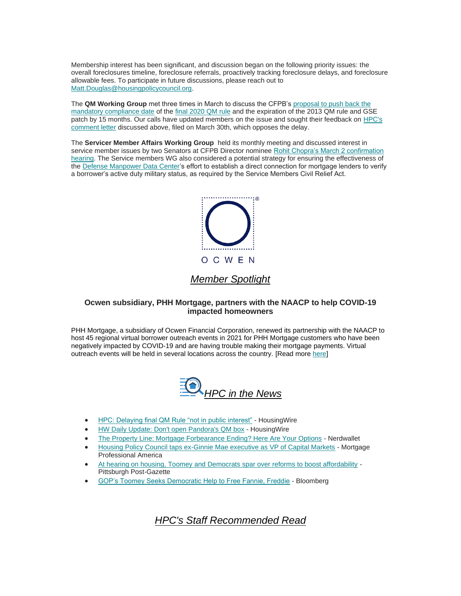Membership interest has been significant, and discussion began on the following priority issues: the overall foreclosures timeline, foreclosure referrals, proactively tracking foreclosure delays, and foreclosure allowable fees. To participate in future discussions, please reach out to [Matt.Douglas@housingpolicycouncil.org.](mailto:Matt.Douglas@housingpolicycouncil.org)

The **QM Working Group** met three times in March to discuss the CFPB'[s proposal to push back the](https://nam12.safelinks.protection.outlook.com/?url=https%3A%2F%2Fwww.consumerfinance.gov%2Fabout-us%2Fnewsroom%2Fcfpb-proposes-delay-of-mandatory-compliance-date-for-general-qualified-mortgage-finalrule%2F&data=04%7C01%7Canna.herndon%40edelman.com%7Cf948af97484d45b4e7f508d8f9096ebe%7Cb824bfb3918e43c2bb1cdcc1ba40a82b%7C0%7C1%7C637533166205164431%7CUnknown%7CTWFpbGZsb3d8eyJWIjoiMC4wLjAwMDAiLCJQIjoiV2luMzIiLCJBTiI6Ik1haWwiLCJXVCI6Mn0%3D%7C1000&sdata=VeGow5%2BhxA4G%2FwpKstBROE0edXzwe3TI63EN0KN2xrw%3D&reserved=0)  [mandatory compliance date](https://nam12.safelinks.protection.outlook.com/?url=https%3A%2F%2Fwww.consumerfinance.gov%2Fabout-us%2Fnewsroom%2Fcfpb-proposes-delay-of-mandatory-compliance-date-for-general-qualified-mortgage-finalrule%2F&data=04%7C01%7Canna.herndon%40edelman.com%7Cf948af97484d45b4e7f508d8f9096ebe%7Cb824bfb3918e43c2bb1cdcc1ba40a82b%7C0%7C1%7C637533166205164431%7CUnknown%7CTWFpbGZsb3d8eyJWIjoiMC4wLjAwMDAiLCJQIjoiV2luMzIiLCJBTiI6Ik1haWwiLCJXVCI6Mn0%3D%7C1000&sdata=VeGow5%2BhxA4G%2FwpKstBROE0edXzwe3TI63EN0KN2xrw%3D&reserved=0) of th[e final 2020 QM rule](https://nam12.safelinks.protection.outlook.com/?url=https%3A%2F%2Fwww.federalregister.gov%2Fdocuments%2F2020%2F12%2F29%2F2020-27567%2Fqualified-mortgage-definition-under-the-truth-in-lending-act-regulation-z-general-qm-loan-definition&data=04%7C01%7Canna.herndon%40edelman.com%7Cf948af97484d45b4e7f508d8f9096ebe%7Cb824bfb3918e43c2bb1cdcc1ba40a82b%7C0%7C1%7C637533166205174430%7CUnknown%7CTWFpbGZsb3d8eyJWIjoiMC4wLjAwMDAiLCJQIjoiV2luMzIiLCJBTiI6Ik1haWwiLCJXVCI6Mn0%3D%7C1000&sdata=1LdhFgnnv41%2B0nFDErHm%2B1dUkKfajWMlYF6d4nNrj3Y%3D&reserved=0) and the expiration of the 2013 QM rule and GSE patch by 15 months. Our calls have updated members on the issue and sought their feedback on [HPC's](https://nam12.safelinks.protection.outlook.com/?url=https%3A%2F%2Ffbb0ab68-1668-4db6-9365-051035190b71.filesusr.com%2Fugd%2Fd315af_07fbe9a61a4c4ade92e69d40bb1f82b8.pdf&data=04%7C01%7Canna.herndon%40edelman.com%7Cf948af97484d45b4e7f508d8f9096ebe%7Cb824bfb3918e43c2bb1cdcc1ba40a82b%7C0%7C1%7C637533166205174430%7CUnknown%7CTWFpbGZsb3d8eyJWIjoiMC4wLjAwMDAiLCJQIjoiV2luMzIiLCJBTiI6Ik1haWwiLCJXVCI6Mn0%3D%7C1000&sdata=nzAgSueWZkMM%2FgG1AvxoFQqlViLy9ToC%2FYkly6f3THw%3D&reserved=0)  [comment letter](https://nam12.safelinks.protection.outlook.com/?url=https%3A%2F%2Ffbb0ab68-1668-4db6-9365-051035190b71.filesusr.com%2Fugd%2Fd315af_07fbe9a61a4c4ade92e69d40bb1f82b8.pdf&data=04%7C01%7Canna.herndon%40edelman.com%7Cf948af97484d45b4e7f508d8f9096ebe%7Cb824bfb3918e43c2bb1cdcc1ba40a82b%7C0%7C1%7C637533166205174430%7CUnknown%7CTWFpbGZsb3d8eyJWIjoiMC4wLjAwMDAiLCJQIjoiV2luMzIiLCJBTiI6Ik1haWwiLCJXVCI6Mn0%3D%7C1000&sdata=nzAgSueWZkMM%2FgG1AvxoFQqlViLy9ToC%2FYkly6f3THw%3D&reserved=0) discussed above, filed on March 30th, which opposes the delay.

The **Servicer Member Affairs Working Group** held its monthly meeting and discussed interest in service member issues by two Senators at CFPB Director nomine[e Rohit Chopra's March 2 confirmation](https://nam12.safelinks.protection.outlook.com/?url=https%3A%2F%2Fwww.banking.senate.gov%2Fhearings%2F02%2F22%2F2021%2Fnomination-hearing&data=04%7C01%7Canna.herndon%40edelman.com%7Cf948af97484d45b4e7f508d8f9096ebe%7Cb824bfb3918e43c2bb1cdcc1ba40a82b%7C0%7C1%7C637533166205184423%7CUnknown%7CTWFpbGZsb3d8eyJWIjoiMC4wLjAwMDAiLCJQIjoiV2luMzIiLCJBTiI6Ik1haWwiLCJXVCI6Mn0%3D%7C1000&sdata=ThmU6wyAYZThvZEd47oe5UTfBf7EU240FjnHwfdh8I8%3D&reserved=0)  [hearing.](https://nam12.safelinks.protection.outlook.com/?url=https%3A%2F%2Fwww.banking.senate.gov%2Fhearings%2F02%2F22%2F2021%2Fnomination-hearing&data=04%7C01%7Canna.herndon%40edelman.com%7Cf948af97484d45b4e7f508d8f9096ebe%7Cb824bfb3918e43c2bb1cdcc1ba40a82b%7C0%7C1%7C637533166205184423%7CUnknown%7CTWFpbGZsb3d8eyJWIjoiMC4wLjAwMDAiLCJQIjoiV2luMzIiLCJBTiI6Ik1haWwiLCJXVCI6Mn0%3D%7C1000&sdata=ThmU6wyAYZThvZEd47oe5UTfBf7EU240FjnHwfdh8I8%3D&reserved=0) The Service members WG also considered a potential strategy for ensuring the effectiveness of th[e Defense Manpower Data Center's](https://nam12.safelinks.protection.outlook.com/?url=https%3A%2F%2Fwww.servicememberscivilreliefact.com%2Fabout-us%2Fdefense-manpower-data-center%2F%3Futm_campaign%3Ddmdc%26utm_source%3Dgoogle%26utm_medium%3Dcpc%26utm_content%3D%257btextlink%257d%26utm_term%3Ddefense%2520manpower%2520data%2520center%26gclid%3DCjwKCAjw6fCCBhBNEiwAem5SO6ZJaySdWjd9ysEiokuke1PhH3smaPwsMpP_dyENer8YI0PhJRhBCBoCJKQQAvD_BwE&data=04%7C01%7Canna.herndon%40edelman.com%7Cf948af97484d45b4e7f508d8f9096ebe%7Cb824bfb3918e43c2bb1cdcc1ba40a82b%7C0%7C1%7C637533166205184423%7CUnknown%7CTWFpbGZsb3d8eyJWIjoiMC4wLjAwMDAiLCJQIjoiV2luMzIiLCJBTiI6Ik1haWwiLCJXVCI6Mn0%3D%7C1000&sdata=Q16wbkSIOSDImcAsWUO2jquXeIhhRTdVU2TQIbs7Xfw%3D&reserved=0) effort to establish a direct connection for mortgage lenders to verify a borrower's active duty military status, as required by the Service Members Civil Relief Act.



# *Member Spotlight*

# <span id="page-3-0"></span>**Ocwen subsidiary, PHH Mortgage, partners with the NAACP to help COVID-19 impacted homeowners**

PHH Mortgage, a subsidiary of Ocwen Financial Corporation, renewed its partnership with the NAACP to host 45 regional virtual borrower outreach events in 2021 for PHH Mortgage customers who have been negatively impacted by COVID-19 and are having trouble making their mortgage payments. Virtual outreach events will be held in several locations across the country. [Read more [here\]](https://nam12.safelinks.protection.outlook.com/?url=https%3A%2F%2Fshareholders.ocwen.com%2Fnews-releases%2Fnews-release-details%2Fphh-mortgage-renews-partnership-naacp-help-covid-19-impacted&data=04%7C01%7Canna.herndon%40edelman.com%7Cf948af97484d45b4e7f508d8f9096ebe%7Cb824bfb3918e43c2bb1cdcc1ba40a82b%7C0%7C1%7C637533166205194424%7CUnknown%7CTWFpbGZsb3d8eyJWIjoiMC4wLjAwMDAiLCJQIjoiV2luMzIiLCJBTiI6Ik1haWwiLCJXVCI6Mn0%3D%7C1000&sdata=SK11qz9NO%2FogSbrHk7A6VJ6BAm7rBqgNw%2FEYt%2FXBdJI%3D&reserved=0)

<span id="page-3-1"></span>

- [HPC: Delaying final QM Rule "not in public interest"](https://nam12.safelinks.protection.outlook.com/?url=https%3A%2F%2Fwww.housingwire.com%2Farticles%2Fhpc-delaying-final-qm-rule-not-in-public-interest%2F&data=04%7C01%7Canna.herndon%40edelman.com%7Cf948af97484d45b4e7f508d8f9096ebe%7Cb824bfb3918e43c2bb1cdcc1ba40a82b%7C0%7C1%7C637533166205194424%7CUnknown%7CTWFpbGZsb3d8eyJWIjoiMC4wLjAwMDAiLCJQIjoiV2luMzIiLCJBTiI6Ik1haWwiLCJXVCI6Mn0%3D%7C1000&sdata=nEJz3nBLUgbhoyz1GSAlB06cnMHCovH%2B7qqmjC4HA3M%3D&reserved=0) Housing Wire
- [HW Daily Update: Don't open](https://nam12.safelinks.protection.outlook.com/?url=https%3A%2F%2Fgo.housingwire.com%2Fdont-open-pandoras-qm-box&data=04%7C01%7Canna.herndon%40edelman.com%7Cf948af97484d45b4e7f508d8f9096ebe%7Cb824bfb3918e43c2bb1cdcc1ba40a82b%7C0%7C1%7C637533166205204413%7CUnknown%7CTWFpbGZsb3d8eyJWIjoiMC4wLjAwMDAiLCJQIjoiV2luMzIiLCJBTiI6Ik1haWwiLCJXVCI6Mn0%3D%7C1000&sdata=1hKzFKRMYcItmuGkTc%2BZ9zvmf8hzGK9ZfiJpYbY5CTg%3D&reserved=0) Pandora's QM box HousingWire
- [The Property Line: Mortgage Forbearance Ending? Here Are Your Options](https://nam12.safelinks.protection.outlook.com/?url=https%3A%2F%2Fwww.nerdwallet.com%2Farticle%2Fmortgages%2Fmortgage-forbearance-ending-options&data=04%7C01%7Canna.herndon%40edelman.com%7Cf948af97484d45b4e7f508d8f9096ebe%7Cb824bfb3918e43c2bb1cdcc1ba40a82b%7C0%7C1%7C637533166205204413%7CUnknown%7CTWFpbGZsb3d8eyJWIjoiMC4wLjAwMDAiLCJQIjoiV2luMzIiLCJBTiI6Ik1haWwiLCJXVCI6Mn0%3D%7C1000&sdata=7p%2BuDMG6hzWpEFFpuYVM6EX3%2Fvma70lGZ63cVFSPDjc%3D&reserved=0) Nerdwallet
- [Housing Policy Council taps ex-Ginnie Mae executive as VP of Capital Markets](https://nam12.safelinks.protection.outlook.com/?url=https%3A%2F%2Fwww.mpamag.com%2Fnews%2Fhousing-policy-council-taps-exginnie-mae-executive-as-vp-of-capital-markets-249647.aspx&data=04%7C01%7Canna.herndon%40edelman.com%7Cf948af97484d45b4e7f508d8f9096ebe%7Cb824bfb3918e43c2bb1cdcc1ba40a82b%7C0%7C1%7C637533166205214403%7CUnknown%7CTWFpbGZsb3d8eyJWIjoiMC4wLjAwMDAiLCJQIjoiV2luMzIiLCJBTiI6Ik1haWwiLCJXVCI6Mn0%3D%7C1000&sdata=dNZI8gFYKvLofcwugHBNGB4bQGv8YoEdzfb08gjo1Zk%3D&reserved=0) Mortgage Professional America
- At hearing on housing, [Toomey and Democrats spar over reforms to boost affordability](https://nam12.safelinks.protection.outlook.com/?url=https%3A%2F%2Fwww.post-gazette.com%2Fnews%2Fpolitics-nation%2F2021%2F03%2F16%2FPat-Toomey-Sherrod-Brown-housing-reforms-Fannie-Mae-Freddie-Mac%2Fstories%2F202103160163&data=04%7C01%7Canna.herndon%40edelman.com%7Cf948af97484d45b4e7f508d8f9096ebe%7Cb824bfb3918e43c2bb1cdcc1ba40a82b%7C0%7C1%7C637533166205214403%7CUnknown%7CTWFpbGZsb3d8eyJWIjoiMC4wLjAwMDAiLCJQIjoiV2luMzIiLCJBTiI6Ik1haWwiLCJXVCI6Mn0%3D%7C1000&sdata=KF%2Bkm3MNT0m%2FcvtgFwlxFEp8lDGVC2QQMq4E17Mzj80%3D&reserved=0) Pittsburgh Post-Gazette
- <span id="page-3-2"></span>• [GOP's Toomey Seeks Democratic Help to Free Fannie, Freddie](https://nam12.safelinks.protection.outlook.com/?url=https%3A%2F%2Fwww.bloomberg.com%2Fnews%2Farticles%2F2021-03-15%2Fgop-s-toomey-seeks-democratic-support-to-free-fannie-and-freddie&data=04%7C01%7Canna.herndon%40edelman.com%7Cf948af97484d45b4e7f508d8f9096ebe%7Cb824bfb3918e43c2bb1cdcc1ba40a82b%7C0%7C1%7C637533166205224398%7CUnknown%7CTWFpbGZsb3d8eyJWIjoiMC4wLjAwMDAiLCJQIjoiV2luMzIiLCJBTiI6Ik1haWwiLCJXVCI6Mn0%3D%7C1000&sdata=F9ySM7HzLRhvlSbuEENzdmzd2h%2ByUC9BqR1ZAW%2BGDRA%3D&reserved=0) - Bloomberg

*HPC's Staff Recommended Read*